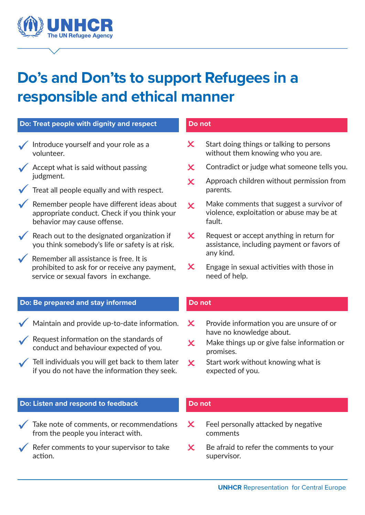

# **Do's and Don'ts to support Refugees in a responsible and ethical manner**

| Do: Treat people with dignity and respect                                                                                        | Do not                                                                                                                     |
|----------------------------------------------------------------------------------------------------------------------------------|----------------------------------------------------------------------------------------------------------------------------|
| Introduce yourself and your role as a<br>volunteer.                                                                              | Start doing things or talking to persons<br>$\boldsymbol{\mathsf{x}}$<br>without them knowing who you are.                 |
| $\sqrt{\phantom{a}}$ Accept what is said without passing                                                                         | Contradict or judge what someone tells you.<br>$\bm{\mathsf{x}}$                                                           |
| judgment.<br>Treat all people equally and with respect.                                                                          | Approach children without permission from<br>$\boldsymbol{\mathsf{x}}$<br>parents.                                         |
| Remember people have different ideas about<br>appropriate conduct. Check if you think your<br>behavior may cause offense.        | Make comments that suggest a survivor of<br>$\overline{\mathsf{x}}$<br>violence, exploitation or abuse may be at<br>fault. |
| Reach out to the designated organization if<br>you think somebody's life or safety is at risk.                                   | $\boldsymbol{\mathsf{x}}$<br>Request or accept anything in return for<br>assistance, including payment or favors of        |
| Remember all assistance is free. It is<br>prohibited to ask for or receive any payment,<br>service or sexual favors in exchange. | any kind.<br>$\boldsymbol{\mathsf{x}}$<br>Engage in sexual activities with those in<br>need of help.                       |
|                                                                                                                                  |                                                                                                                            |
| Do: Be prepared and stay informed                                                                                                | Do not                                                                                                                     |
| Maintain and provide up-to-date information.                                                                                     | Provide information you are unsure of or<br>$\boldsymbol{\mathsf{x}}$                                                      |
| Request information on the standards of<br>conduct and behaviour expected of you.                                                | have no knowledge about.<br>Make things up or give false information or<br>$\bm{\times}$                                   |
| Tell individuals you will get back to them later<br>if you do not have the information they seek.                                | promises.<br>Start work without knowing what is<br>$\boldsymbol{\mathsf{x}}$<br>expected of you.                           |
|                                                                                                                                  |                                                                                                                            |
| Do: Listen and respond to feedback                                                                                               | Do not                                                                                                                     |
| Take note of comments, or recommendations<br>from the people you interact with.                                                  | Feel personally attacked by negative<br>$\boldsymbol{\mathsf{x}}$<br>comments                                              |